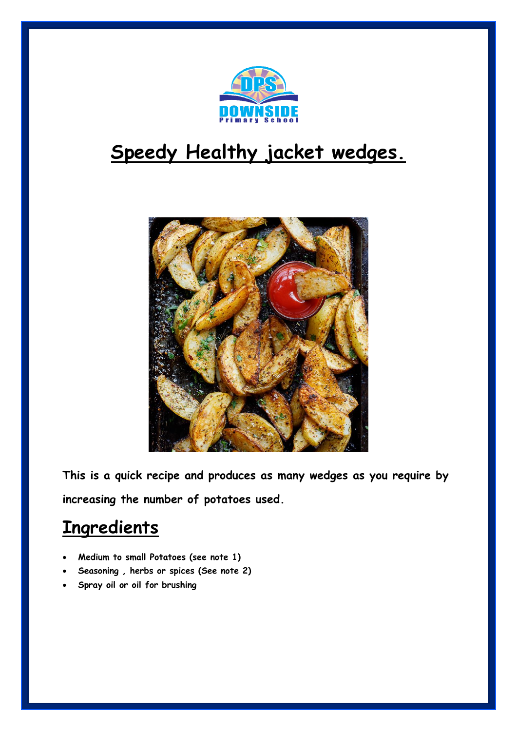

# **Speedy Healthy jacket wedges.**



**This is a quick recipe and produces as many wedges as you require by increasing the number of potatoes used.**

### **Ingredients**

- **Medium to small Potatoes (see note 1)**
- **Seasoning , herbs or spices (See note 2)**
- **Spray oil or oil for brushing**